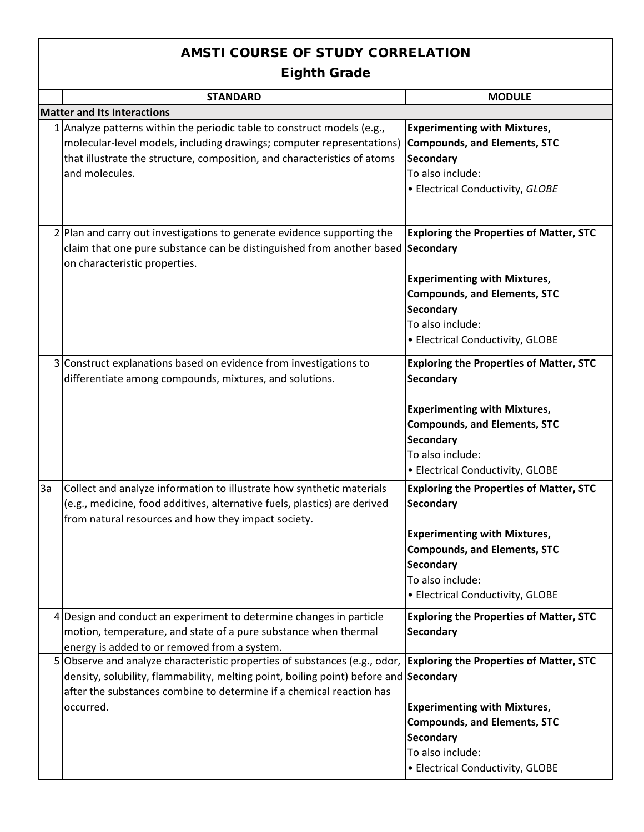## AMSTI COURSE OF STUDY CORRELATION

Eighth Grade

|                                    | <b>STANDARD</b>                                                                                                    | <b>MODULE</b>                                  |  |
|------------------------------------|--------------------------------------------------------------------------------------------------------------------|------------------------------------------------|--|
| <b>Matter and Its Interactions</b> |                                                                                                                    |                                                |  |
|                                    | 1 Analyze patterns within the periodic table to construct models (e.g.,                                            | <b>Experimenting with Mixtures,</b>            |  |
|                                    | molecular-level models, including drawings; computer representations)                                              | <b>Compounds, and Elements, STC</b>            |  |
|                                    | that illustrate the structure, composition, and characteristics of atoms                                           | <b>Secondary</b>                               |  |
|                                    | and molecules.                                                                                                     | To also include:                               |  |
|                                    |                                                                                                                    | • Electrical Conductivity, GLOBE               |  |
|                                    |                                                                                                                    |                                                |  |
|                                    |                                                                                                                    |                                                |  |
|                                    | 2 Plan and carry out investigations to generate evidence supporting the                                            | <b>Exploring the Properties of Matter, STC</b> |  |
|                                    | claim that one pure substance can be distinguished from another based Secondary                                    |                                                |  |
|                                    | on characteristic properties.                                                                                      |                                                |  |
|                                    |                                                                                                                    | <b>Experimenting with Mixtures,</b>            |  |
|                                    |                                                                                                                    | <b>Compounds, and Elements, STC</b>            |  |
|                                    |                                                                                                                    | <b>Secondary</b>                               |  |
|                                    |                                                                                                                    | To also include:                               |  |
|                                    |                                                                                                                    | • Electrical Conductivity, GLOBE               |  |
|                                    | 3 Construct explanations based on evidence from investigations to                                                  | <b>Exploring the Properties of Matter, STC</b> |  |
|                                    | differentiate among compounds, mixtures, and solutions.                                                            | Secondary                                      |  |
|                                    |                                                                                                                    |                                                |  |
|                                    |                                                                                                                    |                                                |  |
|                                    |                                                                                                                    | <b>Experimenting with Mixtures,</b>            |  |
|                                    |                                                                                                                    | <b>Compounds, and Elements, STC</b>            |  |
|                                    |                                                                                                                    | <b>Secondary</b>                               |  |
|                                    |                                                                                                                    | To also include:                               |  |
|                                    |                                                                                                                    | • Electrical Conductivity, GLOBE               |  |
| 3a                                 | Collect and analyze information to illustrate how synthetic materials                                              | <b>Exploring the Properties of Matter, STC</b> |  |
|                                    | (e.g., medicine, food additives, alternative fuels, plastics) are derived                                          | Secondary                                      |  |
|                                    | from natural resources and how they impact society.                                                                |                                                |  |
|                                    |                                                                                                                    | <b>Experimenting with Mixtures,</b>            |  |
|                                    |                                                                                                                    | <b>Compounds, and Elements, STC</b>            |  |
|                                    |                                                                                                                    | <b>Secondary</b>                               |  |
|                                    |                                                                                                                    | To also include:                               |  |
|                                    |                                                                                                                    | • Electrical Conductivity, GLOBE               |  |
|                                    | 4 Design and conduct an experiment to determine changes in particle                                                | <b>Exploring the Properties of Matter, STC</b> |  |
|                                    | motion, temperature, and state of a pure substance when thermal                                                    | <b>Secondary</b>                               |  |
|                                    | energy is added to or removed from a system.                                                                       |                                                |  |
|                                    | 5 Observe and analyze characteristic properties of substances (e.g., odor, Exploring the Properties of Matter, STC |                                                |  |
|                                    | density, solubility, flammability, melting point, boiling point) before and Secondary                              |                                                |  |
|                                    | after the substances combine to determine if a chemical reaction has                                               |                                                |  |
|                                    | occurred.                                                                                                          | <b>Experimenting with Mixtures,</b>            |  |
|                                    |                                                                                                                    | <b>Compounds, and Elements, STC</b>            |  |
|                                    |                                                                                                                    | <b>Secondary</b>                               |  |
|                                    |                                                                                                                    | To also include:                               |  |
|                                    |                                                                                                                    | • Electrical Conductivity, GLOBE               |  |
|                                    |                                                                                                                    |                                                |  |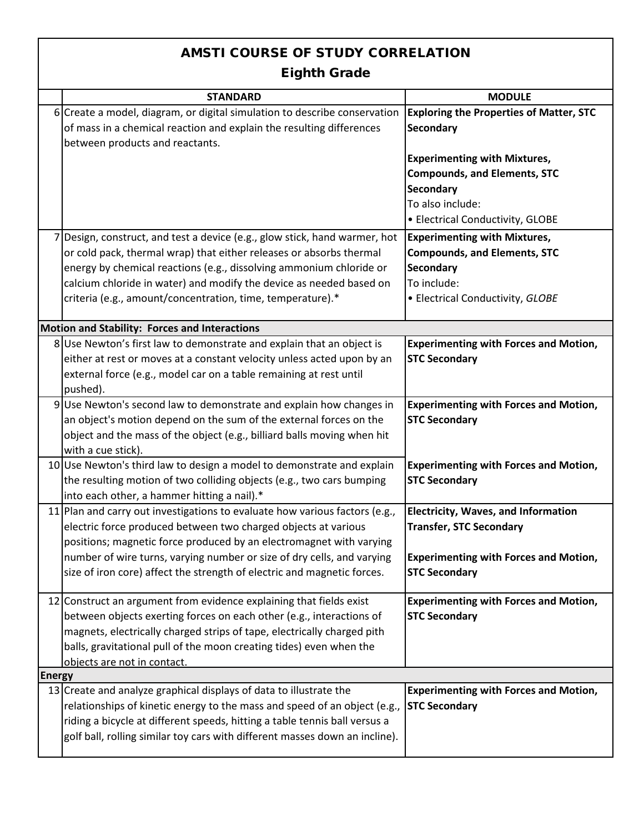## AMSTI COURSE OF STUDY CORRELATION Eighth Grade **STANDARD MODULE** 6 Create a model, diagram, or digital simulation to describe conservation 7 Design, construct, and test a device (e.g., glow stick, hand warmer, hot 8 Use Newton's first law to demonstrate and explain that an object is 9 Use Newton's second law to demonstrate and explain how changes in 10 Use Newton's third law to design a model to demonstrate and explain 11 Plan and carry out investigations to evaluate how various factors (e.g., 12 Construct an argument from evidence explaining that fields exist 13 Create and analyze graphical displays of data to illustrate the **Experimenting with Forces and Motion, STC Secondary Experimenting with Forces and Motion, STC Secondary Experimenting with Forces and Motion, STC Secondary Energy Experimenting with Forces and Motion, STC Secondary** between objects exerting forces on each other (e.g., interactions of magnets, electrically charged strips of tape, electrically charged pith balls, gravitational pull of the moon creating tides) even when the objects are not in contact. relationships of kinetic energy to the mass and speed of an object (e.g., riding a bicycle at different speeds, hitting a table tennis ball versus a golf ball, rolling similar toy cars with different masses down an incline). **Exploring the Properties of Matter, STC Secondary Experimenting with Mixtures, Compounds, and Elements, STC Secondary** To also include: • Electrical Conductivity, GLOBE **Experimenting with Mixtures, Compounds, and Elements, STC Secondary** To include: • Electrical Conductivity, *GLOBE* **Electricity, Waves, and Information Transfer, STC Secondary Experimenting with Forces and Motion, STC Secondary Motion and Stability: Forces and Interactions** or cold pack, thermal wrap) that either releases or absorbs thermal energy by chemical reactions (e.g., dissolving ammonium chloride or calcium chloride in water) and modify the device as needed based on criteria (e.g., amount/concentration, time, temperature).\* an object's motion depend on the sum of the external forces on the object and the mass of the object (e.g., billiard balls moving when hit with a cue stick). the resulting motion of two colliding objects (e.g., two cars bumping into each other, a hammer hitting a nail).\* **Experimenting with Forces and Motion, STC Secondary** either at rest or moves at a constant velocity unless acted upon by an external force (e.g., model car on a table remaining at rest until pushed). electric force produced between two charged objects at various positions; magnetic force produced by an electromagnet with varying number of wire turns, varying number or size of dry cells, and varying size of iron core) affect the strength of electric and magnetic forces. of mass in a chemical reaction and explain the resulting differences between products and reactants.